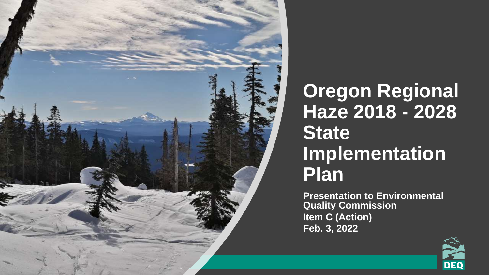

#### **Oregon Regional Haze 2018 - 2028 State Implementation Plan**

**Presentation to Environmental Quality Commission Item C (Action) Feb. 3, 2022**

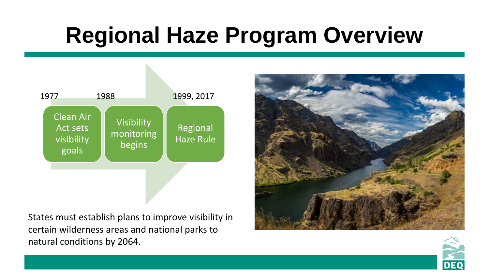### **Regional Haze Program Overview**



States must establish plans to improve visibility in certain wilderness areas and national parks to natural conditions by 2064.



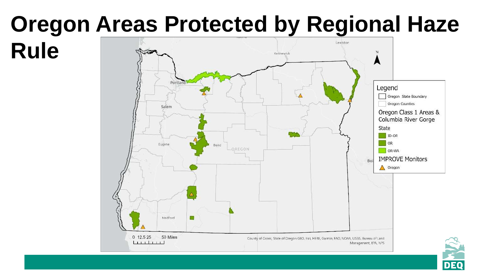# **Oregon Areas Protected by Regional Haze**



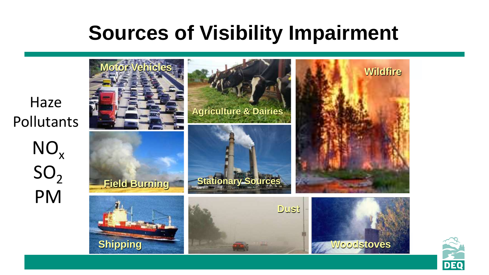#### **Sources of Visibility Impairment**



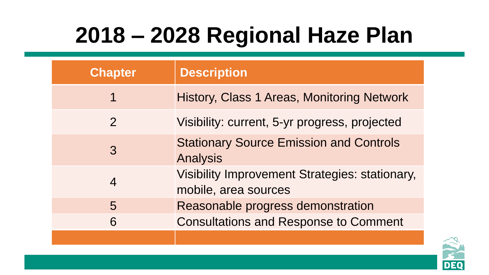# **2018 – 2028 Regional Haze Plan**

| <b>Chapter</b> | <b>Description</b>                                                            |
|----------------|-------------------------------------------------------------------------------|
| 1              | History, Class 1 Areas, Monitoring Network                                    |
| $\overline{2}$ | Visibility: current, 5-yr progress, projected                                 |
| $\mathcal{S}$  | <b>Stationary Source Emission and Controls</b><br><b>Analysis</b>             |
| $\overline{4}$ | <b>Visibility Improvement Strategies: stationary,</b><br>mobile, area sources |
| 5              | Reasonable progress demonstration                                             |
| 6              | <b>Consultations and Response to Comment</b>                                  |
|                |                                                                               |

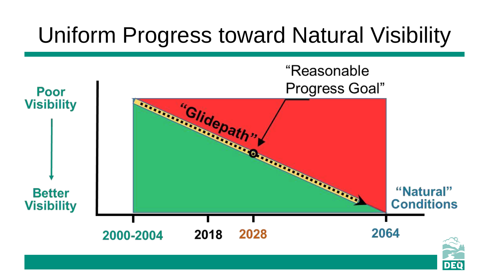### Uniform Progress toward Natural Visibility

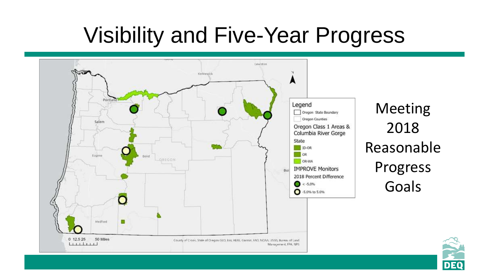### Visibility and Five-Year Progress



7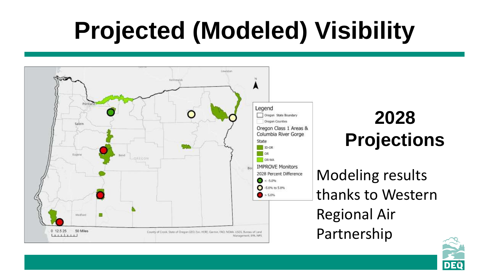# **Projected (Modeled) Visibility**



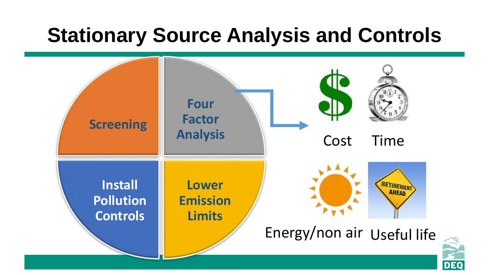#### **Stationary Source Analysis and Controls**

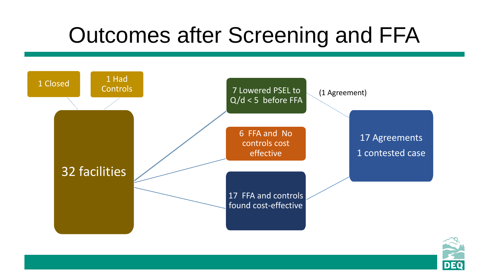### Outcomes after Screening and FFA



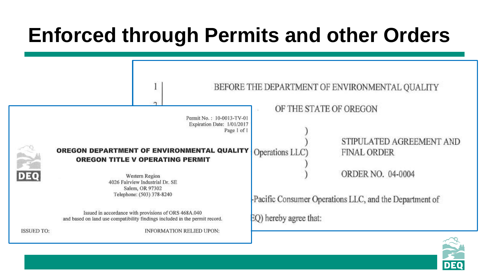### **Enforced through Permits and other Orders**

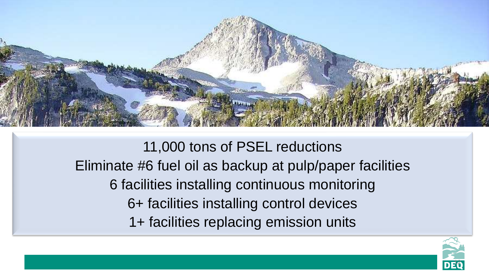

11,000 tons of PSEL reductions Eliminate #6 fuel oil as backup at pulp/paper facilities 6 facilities installing continuous monitoring 6+ facilities installing control devices 1+ facilities replacing emission units

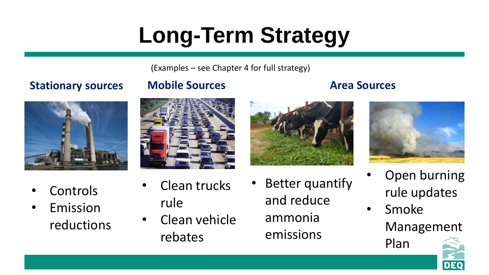# **Long-Term Strategy**

(Examples – see Chapter 4 for full strategy)

#### **Stationary sources Mobile Sources Area Sources**



- **Controls**
- **Emission** reductions
- Clean trucks rule
- Clean vehicle rebates
- Better quantify and reduce ammonia emissions



- Open burning rule updates
- Smoke Management

Plan

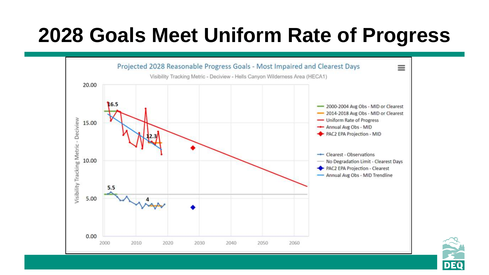### **2028 Goals Meet Uniform Rate of Progress**



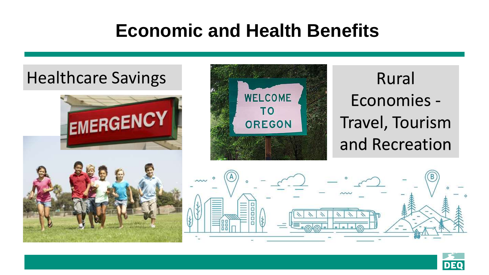#### **Economic and Health Benefits**



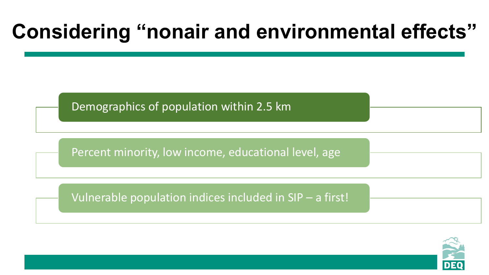### **Considering "nonair and environmental effects"**

Demographics of population within 2.5 km

Percent minority, low income, educational level, age

Vulnerable population indices included in SIP – a first!

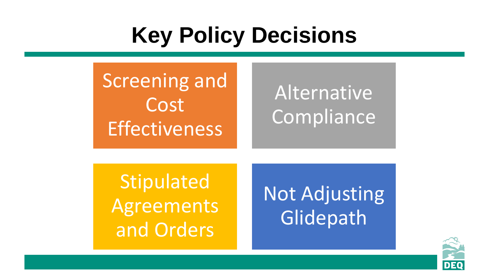# **Key Policy Decisions**

Screening and Cost **Effectiveness** 

### Alternative Compliance

**Stipulated** Agreements and Orders

Not Adjusting Glidepath

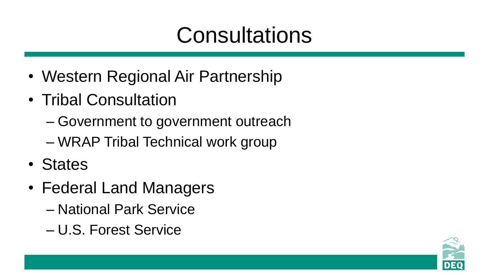# **Consultations**

- Western Regional Air Partnership
- Tribal Consultation
	- Government to government outreach
	- WRAP Tribal Technical work group
- States
- Federal Land Managers
	- National Park Service
	- U.S. Forest Service

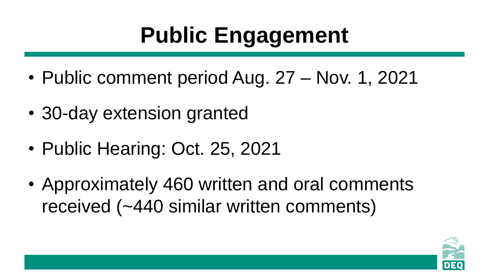# **Public Engagement**

- Public comment period Aug. 27 Nov. 1, 2021
- 30-day extension granted
- Public Hearing: Oct. 25, 2021
- Approximately 460 written and oral comments received (~440 similar written comments)

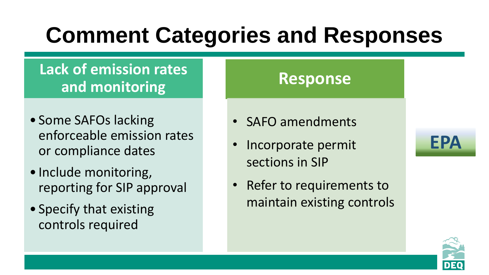### **Comment Categories and Responses**

#### **Lack of emission rates and monitoring**

- Some SAFOs lacking enforceable emission rates or compliance dates
- Include monitoring, reporting for SIP approval
- Specify that existing controls required

#### **Response**

- SAFO amendments
- Incorporate permit sections in SIP
- Refer to requirements to maintain existing controls



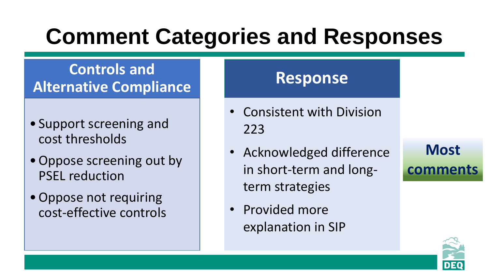# **Comment Categories and Responses**

#### **Controls and Alternative Compliance**

- Support screening and cost thresholds
- Oppose screening out by PSEL reduction
- •Oppose not requiring cost-effective controls

#### **Response**

- Consistent with Division 223
- Acknowledged difference in short-term and longterm strategies
- Provided more explanation in SIP

#### **Most comments**

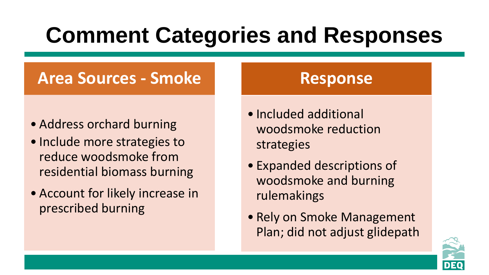# **Comment Categories and Responses**

#### **Area Sources - Smoke**

- Address orchard burning
- Include more strategies to reduce woodsmoke from residential biomass burning
- Account for likely increase in prescribed burning

#### **Response**

- Included additional woodsmoke reduction strategies
- Expanded descriptions of woodsmoke and burning rulemakings
- Rely on Smoke Management Plan; did not adjust glidepath